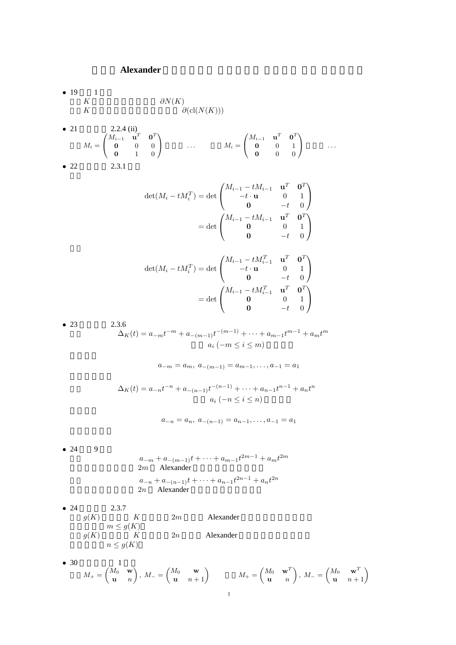Alexander

• 19 1  $K$   $\partial N(K)$ <br>*K*  $\partial$ *(K*)  $\partial$ (cl( $N(K)$ ))

• 21  
\n
$$
M_{i} = \begin{pmatrix} 2.2.4 \text{ (ii)} \\ 0 & 0 & 0 \\ 0 & 1 & 0 \end{pmatrix} \qquad \dots \qquad M_{i} = \begin{pmatrix} M_{i-1} & \mathbf{u}^{T} & \mathbf{0}^{T} \\ \mathbf{0} & 0 & 1 \\ 0 & 0 & 0 \end{pmatrix} \qquad \dots
$$
\n• 22  
\n2.3.1

$$
\det(M_i - tM_i^T) = \det\begin{pmatrix} M_{i-1} - tM_{i-1} & \mathbf{u}^T & \mathbf{0}^T \\ -t \cdot \mathbf{u} & 0 & 1 \\ \mathbf{0} & -t & 0 \end{pmatrix}
$$

$$
= \det\begin{pmatrix} M_{i-1} - tM_{i-1} & \mathbf{u}^T & \mathbf{0}^T \\ \mathbf{0} & 0 & 1 \\ \mathbf{0} & -t & 0 \end{pmatrix}
$$

$$
\det(M_i - tM_i^T) = \det\begin{pmatrix} M_{i-1} - tM_{i-1}^T & \mathbf{u}^T & \mathbf{0}^T \\ -t \cdot \mathbf{u} & 0 & 1 \\ \mathbf{0} & -t & 0 \end{pmatrix}
$$

$$
= \det\begin{pmatrix} M_{i-1} - tM_{i-1}^T & \mathbf{u}^T & \mathbf{0}^T \\ \mathbf{0} & 0 & 1 \\ \mathbf{0} & -t & 0 \end{pmatrix}
$$

 $• 23 2.3.6$  $\Delta_K(t) = a_{-m}t^{-m} + a_{-(m-1)}t^{-(m-1)} + \cdots + a_{m-1}t^{m-1} + a_mt^m$  $a_i$  ( $-m < i < m$ )

$$
a_{-m} = a_m, \ a_{-(m-1)} = a_{m-1}, \dots, a_{-1} = a_1
$$

$$
\Delta_K(t) = a_{-n}t^{-n} + a_{-(n-1)}t^{-(n-1)} + \dots + a_{n-1}t^{n-1} + a_nt^n
$$
  

$$
a_i \ (-n \le i \le n)
$$

$$
a_{-n} = a_n, \ a_{-(n-1)} = a_{n-1}, \dots, a_{-1} = a_1
$$

- 24  $9$  $a_{-m} + a_{-(m-1)}t + \cdots + a_{m-1}t^{2m-1} + a_mt^{2m}$ 2*m* Alexander  $a_{-n} + a_{-(n-1)}t + \cdots + a_{n-1}t^{2n-1} + a_nt^{2n}$ 2*n* Alexander
- $24$   $2.3.7$  $g(K)$  *K* 2*m* Alexander  $m \leq g(K)$  $g(K)$  *K* 2*n* Alexander  $n \leq g(K)$
- 30 1  $M_{+} =$  $\left(M_0\right)$  w **u** *n* « *, M<sup>−</sup>* =  $\begin{pmatrix} M_0 & \mathbf{w} \\ \mathbf{u} & n+1 \end{pmatrix}$   $M_+ =$  $\left(M_0 \quad \mathbf{w}^T\right)$ **u** *n* « *, M<sup>−</sup>* =  $\begin{pmatrix} M_0 & \mathbf{w}^T \\ \mathbf{u} & n+1 \end{pmatrix}$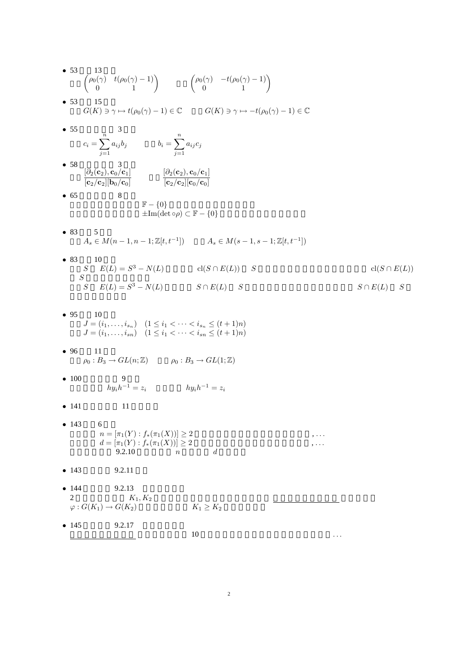• 53 
$$
\begin{pmatrix} 13 \\ 0 \sqrt{6}(\gamma) & t(\rho_0(\gamma) - 1) \\ 0 & 1 \end{pmatrix}
$$
  $\begin{pmatrix} \rho_0(\gamma) & -t(\rho_0(\gamma) - 1) \\ 0 & 1 \end{pmatrix}$   
\n• 53  $\begin{pmatrix} 15 \\ 0 (K) \ni \gamma \mapsto t(\rho_0(\gamma) - 1) \in \mathbb{C} & G(K) \ni \gamma \mapsto -t(\rho_0(\gamma) - 1) \in \mathbb{C} \end{pmatrix}$   
\n• 55  $\begin{pmatrix} 3 \\ 3 \\ 2 \\ -i \end{pmatrix}$   $\begin{pmatrix} 1 \\ 0 \\ 2 \end{pmatrix}$   $\begin{pmatrix} 1 \\ 0 \\ 0 \end{pmatrix}$   $\begin{pmatrix} 1 \\ 0 \\ 0 \end{pmatrix}$   $\begin{pmatrix} 1 \\ 0 \\ 0 \end{pmatrix}$   $\begin{pmatrix} 1 \\ 0 \\ 0 \end{pmatrix}$   $\begin{pmatrix} 1 \\ 0 \\ 0 \end{pmatrix}$   $\begin{pmatrix} 1 \\ 0 \\ 0 \end{pmatrix}$   $\begin{pmatrix} 1 \\ 0 \\ 0 \end{pmatrix}$   $\begin{pmatrix} 1 \\ 0 \\ 0 \end{pmatrix}$   $\begin{pmatrix} 1 \\ 0 \\ 0 \end{pmatrix}$   $\begin{pmatrix} 1 \\ 0 \\ 0 \end{pmatrix}$   $\begin{pmatrix} 1 \\ 0 \\ 0 \end{pmatrix}$   $\begin{pmatrix} 1 \\ 0 \\ 0 \end{pmatrix}$   $\begin{pmatrix} 1 \\ 0 \\ 0 \end{pmatrix}$   $\begin{pmatrix} 1 \\ 0 \\ 0 \end{pmatrix}$   $\begin{pmatrix} 1 \\ 0 \\ 0 \end{pmatrix}$   $\begin{pmatrix} 1 \\ 0 \\ 0 \end{pmatrix}$   $\begin{pmatrix} 1 \\ 0 \\ 0 \end{pmatrix}$   $\begin{pmatrix} 1 \\ 0 \\ 0 \end{pmatrix}$   $\begin{pmatrix} 1 \\ 0 \\ 0 \end{pmatrix}$   $\begin{pmatrix} 1 \\ 0 \\ 0 \end{pmatrix}$   $\begin{pmatrix} 1 \\ 0 \\ 0 \end{pmatrix}$   $\begin{pmatrix} 1 \\ 0 \\$